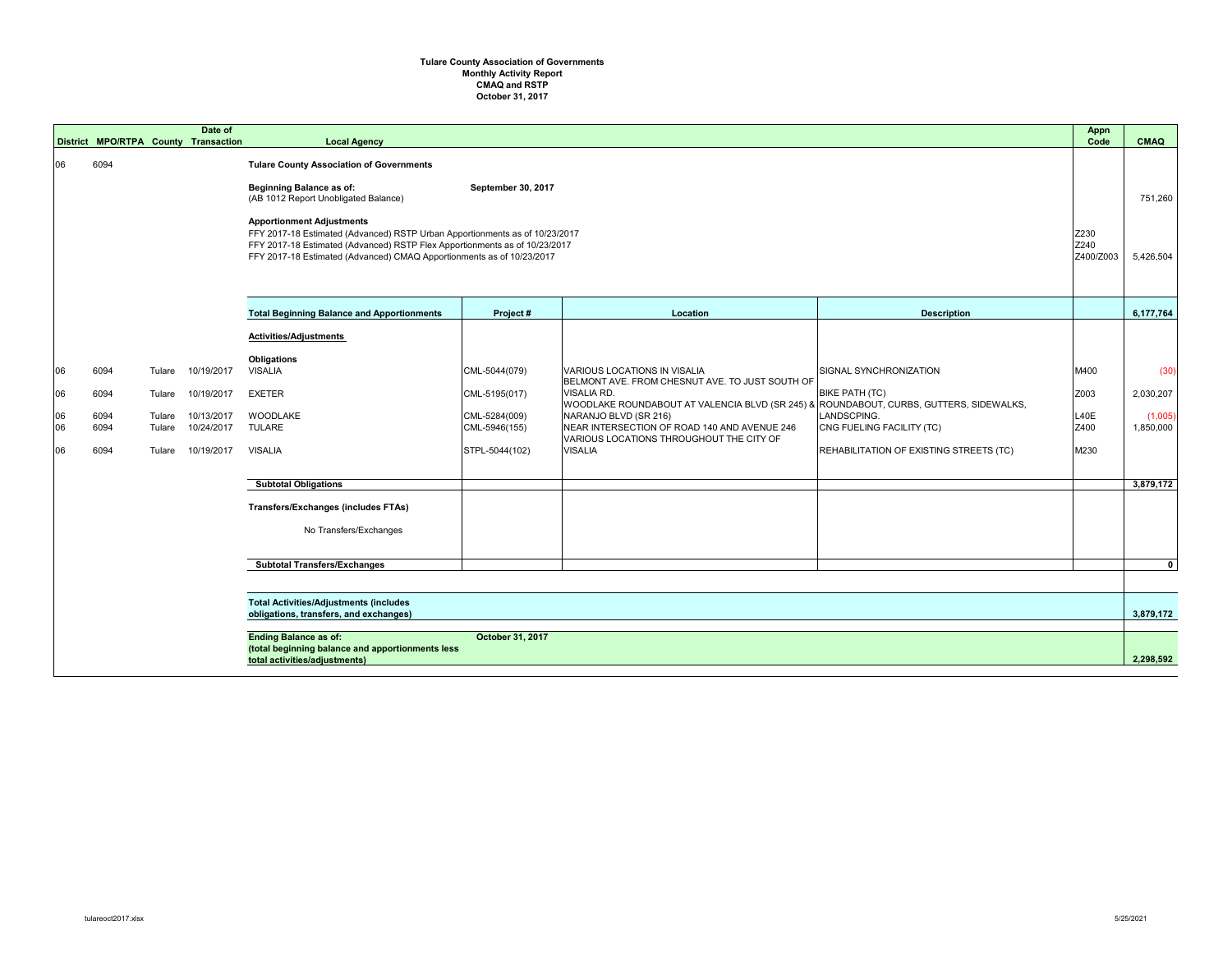## **CMAQ and RSTP October 31, 2017 Tulare County Association of Governments Monthly Activity Report**

|          | District MPO/RTPA County Transaction |                                                                                                                                                                                                                                                                                                                                                                                                                            | Date of                  | <b>Local Agency</b>                                                                                               |                                |                                                                                                                                                                 |                                                | <b>Appn</b><br>Code       | <b>CMAQ</b>          |
|----------|--------------------------------------|----------------------------------------------------------------------------------------------------------------------------------------------------------------------------------------------------------------------------------------------------------------------------------------------------------------------------------------------------------------------------------------------------------------------------|--------------------------|-------------------------------------------------------------------------------------------------------------------|--------------------------------|-----------------------------------------------------------------------------------------------------------------------------------------------------------------|------------------------------------------------|---------------------------|----------------------|
| 06       | 6094                                 | <b>Tulare County Association of Governments</b><br><b>Beginning Balance as of:</b><br>September 30, 2017<br>(AB 1012 Report Unobligated Balance)<br><b>Apportionment Adjustments</b><br>FFY 2017-18 Estimated (Advanced) RSTP Urban Apportionments as of 10/23/2017<br>FFY 2017-18 Estimated (Advanced) RSTP Flex Apportionments as of 10/23/2017<br>FFY 2017-18 Estimated (Advanced) CMAQ Apportionments as of 10/23/2017 |                          |                                                                                                                   |                                |                                                                                                                                                                 |                                                | Z230<br>Z240<br>Z400/Z003 | 751,260<br>5,426,504 |
|          |                                      |                                                                                                                                                                                                                                                                                                                                                                                                                            |                          | <b>Total Beginning Balance and Apportionments</b>                                                                 | Project#                       | Location                                                                                                                                                        | <b>Description</b>                             |                           | 6,177,764            |
|          |                                      |                                                                                                                                                                                                                                                                                                                                                                                                                            |                          | <b>Activities/Adjustments</b>                                                                                     |                                |                                                                                                                                                                 |                                                |                           |                      |
| 06       | 6094                                 | Tulare                                                                                                                                                                                                                                                                                                                                                                                                                     | 10/19/2017               | <b>Obligations</b><br><b>VISALIA</b>                                                                              | CML-5044(079)                  | <b>VARIOUS LOCATIONS IN VISALIA</b>                                                                                                                             | SIGNAL SYNCHRONIZATION                         | M400                      | (30)                 |
| 06       | 6094                                 | Tulare                                                                                                                                                                                                                                                                                                                                                                                                                     | 10/19/2017               | <b>EXETER</b>                                                                                                     | CML-5195(017)                  | BELMONT AVE. FROM CHESNUT AVE. TO JUST SOUTH OF<br><b>VISALIA RD.</b><br>WOODLAKE ROUNDABOUT AT VALENCIA BLVD (SR 245) & ROUNDABOUT, CURBS, GUTTERS, SIDEWALKS, | <b>BIKE PATH (TC)</b>                          | Z003                      | 2,030,207            |
| 06<br>06 | 6094<br>6094                         | Tulare<br>Tulare                                                                                                                                                                                                                                                                                                                                                                                                           | 10/13/2017<br>10/24/2017 | WOODLAKE<br><b>TULARE</b>                                                                                         | CML-5284(009)<br>CML-5946(155) | LANDSCPING.<br>NARANJO BLVD (SR 216)<br>NEAR INTERSECTION OF ROAD 140 AND AVENUE 246<br>CNG FUELING FACILITY (TC)<br>VARIOUS LOCATIONS THROUGHOUT THE CITY OF   |                                                | L40E<br>Z400              | (1,005)<br>1,850,000 |
| 06       | 6094                                 | Tulare                                                                                                                                                                                                                                                                                                                                                                                                                     | 10/19/2017               | <b>VISALIA</b>                                                                                                    | STPL-5044(102)                 | <b>VISALIA</b>                                                                                                                                                  | <b>REHABILITATION OF EXISTING STREETS (TC)</b> | M230                      |                      |
|          |                                      |                                                                                                                                                                                                                                                                                                                                                                                                                            |                          | <b>Subtotal Obligations</b>                                                                                       |                                |                                                                                                                                                                 |                                                |                           | 3,879,172            |
|          |                                      |                                                                                                                                                                                                                                                                                                                                                                                                                            |                          | <b>Transfers/Exchanges (includes FTAs)</b>                                                                        |                                |                                                                                                                                                                 |                                                |                           |                      |
|          |                                      |                                                                                                                                                                                                                                                                                                                                                                                                                            |                          | No Transfers/Exchanges                                                                                            |                                |                                                                                                                                                                 |                                                |                           |                      |
|          |                                      |                                                                                                                                                                                                                                                                                                                                                                                                                            |                          | <b>Subtotal Transfers/Exchanges</b>                                                                               |                                |                                                                                                                                                                 |                                                |                           | $\mathbf{0}$         |
|          |                                      |                                                                                                                                                                                                                                                                                                                                                                                                                            |                          |                                                                                                                   |                                |                                                                                                                                                                 |                                                |                           |                      |
|          |                                      |                                                                                                                                                                                                                                                                                                                                                                                                                            |                          | <b>Total Activities/Adjustments (includes</b><br>obligations, transfers, and exchanges)                           |                                |                                                                                                                                                                 |                                                |                           | 3,879,172            |
|          |                                      |                                                                                                                                                                                                                                                                                                                                                                                                                            |                          | <b>Ending Balance as of:</b><br>(total beginning balance and apportionments less<br>total activities/adjustments) | October 31, 2017               |                                                                                                                                                                 |                                                |                           | 2,298,592            |